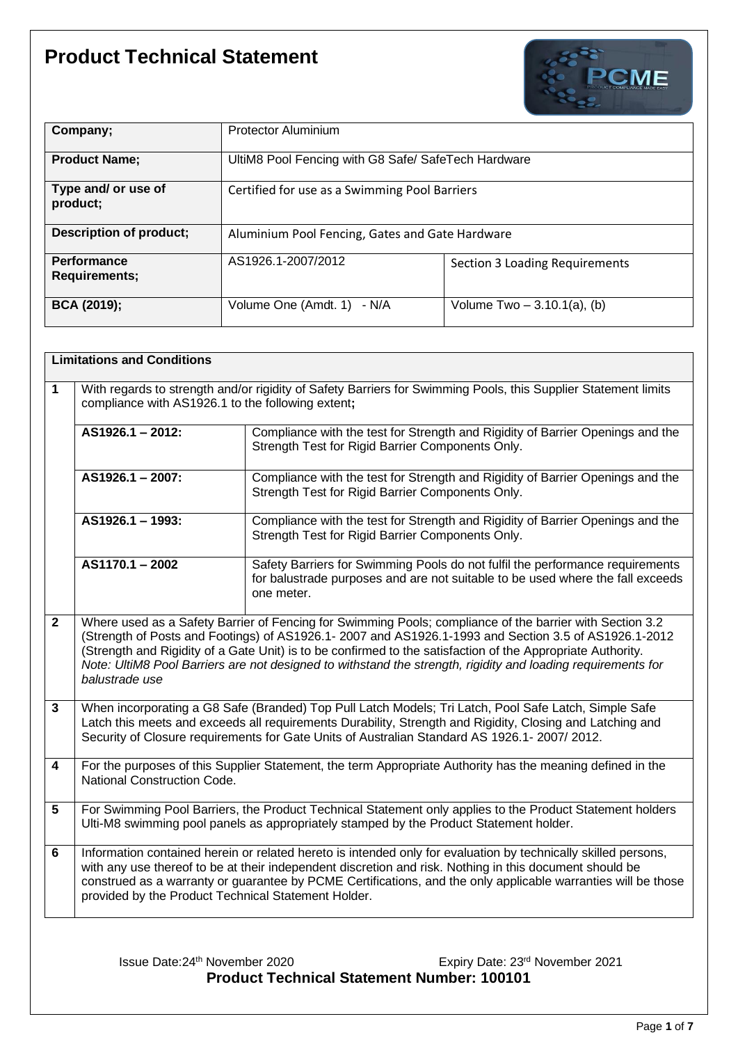

| Company;                                   | <b>Protector Aluminium</b>                          |                                       |
|--------------------------------------------|-----------------------------------------------------|---------------------------------------|
| <b>Product Name;</b>                       | UltiM8 Pool Fencing with G8 Safe/ SafeTech Hardware |                                       |
| Type and/ or use of<br>product;            | Certified for use as a Swimming Pool Barriers       |                                       |
| <b>Description of product;</b>             | Aluminium Pool Fencing, Gates and Gate Hardware     |                                       |
| <b>Performance</b><br><b>Requirements;</b> | AS1926.1-2007/2012                                  | <b>Section 3 Loading Requirements</b> |
| <b>BCA (2019);</b>                         | Volume One (Amdt. 1)<br>- N/A                       | Volume $Two - 3.10.1(a)$ , (b)        |

|              | <b>Limitations and Conditions</b>                                                                                                                                                                                                                                                                                                                                                                                                                                  |                                                                                                                                                                                                     |  |
|--------------|--------------------------------------------------------------------------------------------------------------------------------------------------------------------------------------------------------------------------------------------------------------------------------------------------------------------------------------------------------------------------------------------------------------------------------------------------------------------|-----------------------------------------------------------------------------------------------------------------------------------------------------------------------------------------------------|--|
| $\mathbf{1}$ | With regards to strength and/or rigidity of Safety Barriers for Swimming Pools, this Supplier Statement limits<br>compliance with AS1926.1 to the following extent;                                                                                                                                                                                                                                                                                                |                                                                                                                                                                                                     |  |
|              | $AS1926.1 - 2012$                                                                                                                                                                                                                                                                                                                                                                                                                                                  | Compliance with the test for Strength and Rigidity of Barrier Openings and the<br>Strength Test for Rigid Barrier Components Only.                                                                  |  |
|              | AS1926.1 - 2007:                                                                                                                                                                                                                                                                                                                                                                                                                                                   | Compliance with the test for Strength and Rigidity of Barrier Openings and the<br>Strength Test for Rigid Barrier Components Only.                                                                  |  |
|              | AS1926.1 - 1993:                                                                                                                                                                                                                                                                                                                                                                                                                                                   | Compliance with the test for Strength and Rigidity of Barrier Openings and the<br>Strength Test for Rigid Barrier Components Only.                                                                  |  |
|              | $AS1170.1 - 2002$                                                                                                                                                                                                                                                                                                                                                                                                                                                  | Safety Barriers for Swimming Pools do not fulfil the performance requirements<br>for balustrade purposes and are not suitable to be used where the fall exceeds<br>one meter.                       |  |
| $\mathbf{2}$ | Where used as a Safety Barrier of Fencing for Swimming Pools; compliance of the barrier with Section 3.2<br>(Strength of Posts and Footings) of AS1926.1- 2007 and AS1926.1-1993 and Section 3.5 of AS1926.1-2012<br>(Strength and Rigidity of a Gate Unit) is to be confirmed to the satisfaction of the Appropriate Authority.<br>Note: UltiM8 Pool Barriers are not designed to withstand the strength, rigidity and loading requirements for<br>balustrade use |                                                                                                                                                                                                     |  |
| $\mathbf{3}$ | When incorporating a G8 Safe (Branded) Top Pull Latch Models; Tri Latch, Pool Safe Latch, Simple Safe<br>Latch this meets and exceeds all requirements Durability, Strength and Rigidity, Closing and Latching and<br>Security of Closure requirements for Gate Units of Australian Standard AS 1926.1- 2007/ 2012.                                                                                                                                                |                                                                                                                                                                                                     |  |
| 4            | <b>National Construction Code.</b>                                                                                                                                                                                                                                                                                                                                                                                                                                 | For the purposes of this Supplier Statement, the term Appropriate Authority has the meaning defined in the                                                                                          |  |
| 5            |                                                                                                                                                                                                                                                                                                                                                                                                                                                                    | For Swimming Pool Barriers, the Product Technical Statement only applies to the Product Statement holders<br>Ulti-M8 swimming pool panels as appropriately stamped by the Product Statement holder. |  |
| 6            | Information contained herein or related hereto is intended only for evaluation by technically skilled persons,<br>with any use thereof to be at their independent discretion and risk. Nothing in this document should be<br>construed as a warranty or guarantee by PCME Certifications, and the only applicable warranties will be those<br>provided by the Product Technical Statement Holder.                                                                  |                                                                                                                                                                                                     |  |

Issue Date:24th November 2020 Expiry Date: 23rd November 2021 **Product Technical Statement Number: 100101**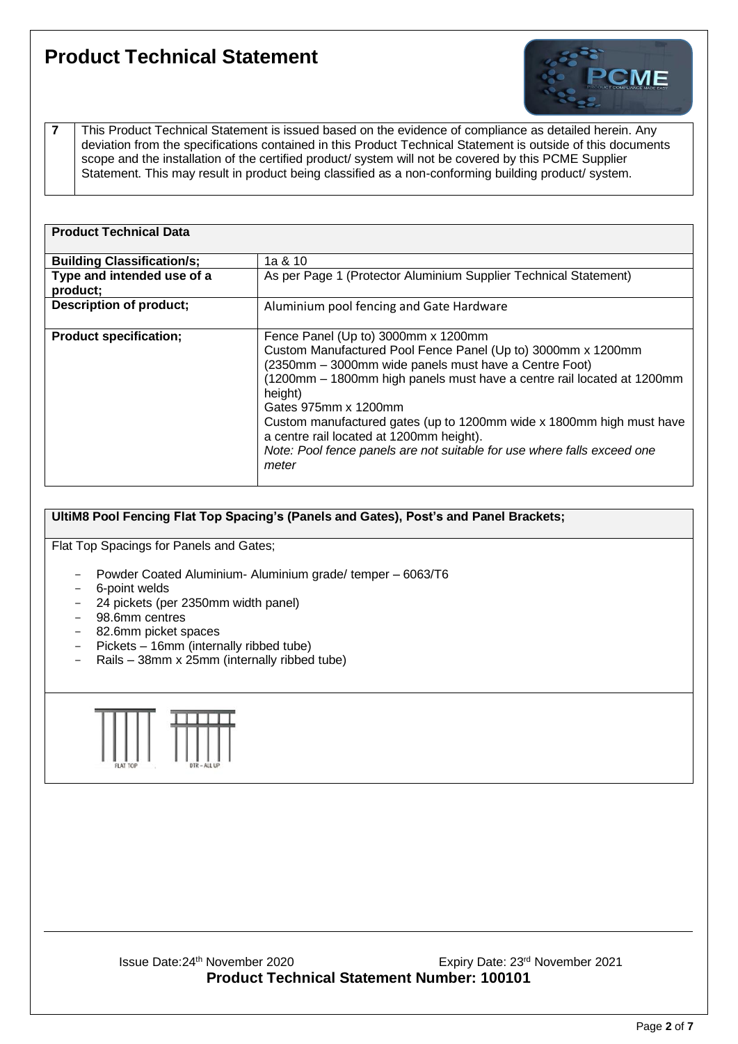

**7** This Product Technical Statement is issued based on the evidence of compliance as detailed herein. Any deviation from the specifications contained in this Product Technical Statement is outside of this documents scope and the installation of the certified product/ system will not be covered by this PCME Supplier Statement. This may result in product being classified as a non-conforming building product/ system.

| <b>Product Technical Data</b>          |                                                                                                                                                                                                                                                                                                                                                                                                                                                                                   |
|----------------------------------------|-----------------------------------------------------------------------------------------------------------------------------------------------------------------------------------------------------------------------------------------------------------------------------------------------------------------------------------------------------------------------------------------------------------------------------------------------------------------------------------|
| <b>Building Classification/s;</b>      | 1a & 10                                                                                                                                                                                                                                                                                                                                                                                                                                                                           |
| Type and intended use of a<br>product; | As per Page 1 (Protector Aluminium Supplier Technical Statement)                                                                                                                                                                                                                                                                                                                                                                                                                  |
| Description of product;                | Aluminium pool fencing and Gate Hardware                                                                                                                                                                                                                                                                                                                                                                                                                                          |
| <b>Product specification;</b>          | Fence Panel (Up to) 3000mm x 1200mm<br>Custom Manufactured Pool Fence Panel (Up to) 3000mm x 1200mm<br>(2350mm - 3000mm wide panels must have a Centre Foot)<br>(1200mm - 1800mm high panels must have a centre rail located at 1200mm<br>height)<br>Gates 975mm x 1200mm<br>Custom manufactured gates (up to 1200mm wide x 1800mm high must have<br>a centre rail located at 1200mm height).<br>Note: Pool fence panels are not suitable for use where falls exceed one<br>meter |

#### **UltiM8 Pool Fencing Flat Top Spacing's (Panels and Gates), Post's and Panel Brackets;**

Flat Top Spacings for Panels and Gates;

- Powder Coated Aluminium- Aluminium grade/ temper 6063/T6
- 6-point welds
- 24 pickets (per 2350mm width panel)
- 98.6mm centres
- 82.6mm picket spaces
- Pickets 16mm (internally ribbed tube)
- Rails 38mm x 25mm (internally ribbed tube)

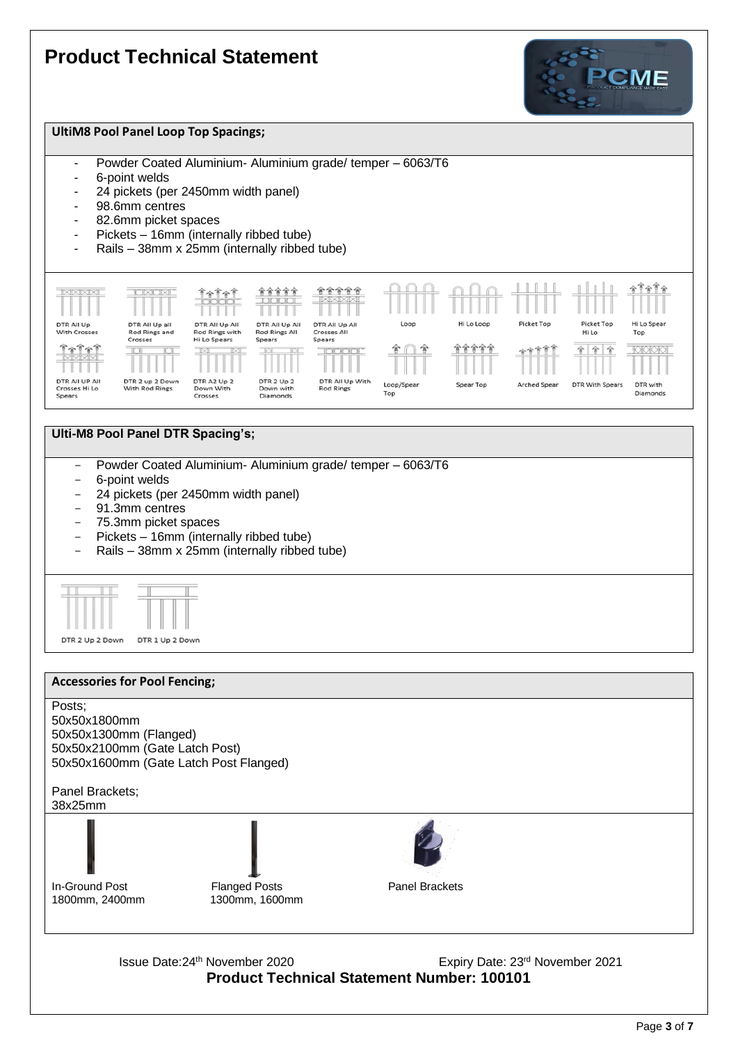



#### **Ulti-M8 Pool Panel DTR Spacing's;**

- Powder Coated Aluminium- Aluminium grade/ temper 6063/T6
- 6-point welds
- 24 pickets (per 2450mm width panel)
- 91.3mm centres
- 75.3mm picket spaces
- Pickets 16mm (internally ribbed tube)
- Rails 38mm x 25mm (internally ribbed tube)



#### **Accessories for Pool Fencing;**



Issue Date:24th November 2020 Expiry Date: 23rd November 2021 **Product Technical Statement Number: 100101**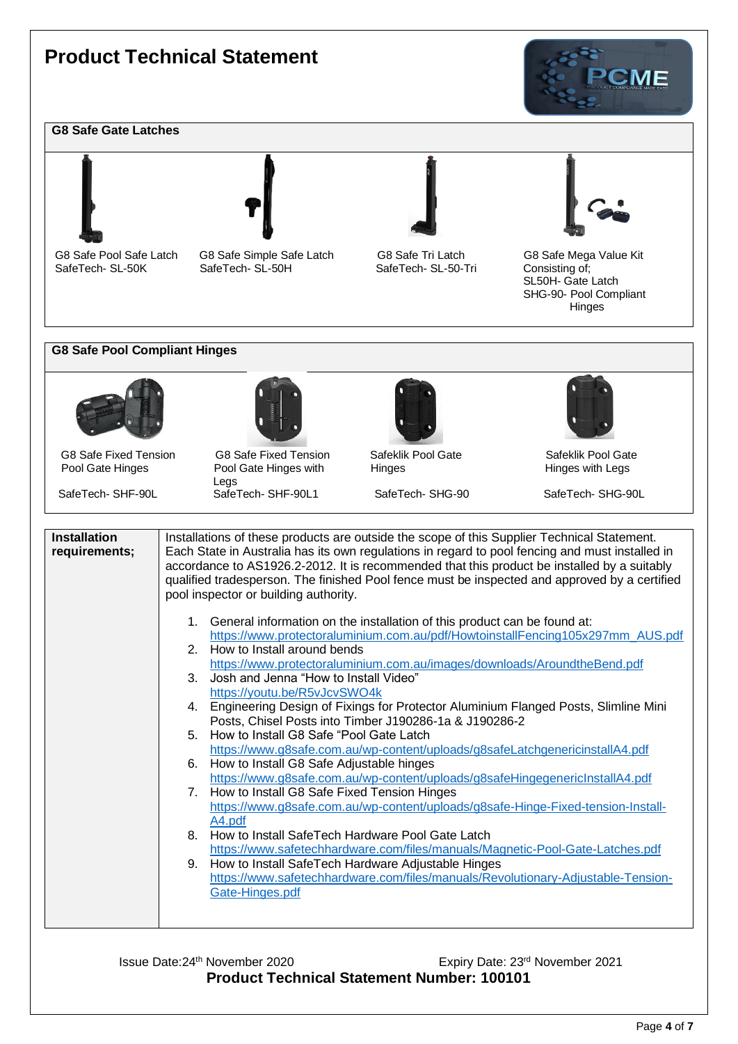#### **G8 Safe Gate Latches**





G8 Safe Pool Safe Latch

G8 Safe Pool Safe Latch G8 Safe Simple Safe Latch G8 Safe Tri Latch G8 Safe Mega Value Kit<br>
Safe Tech SL-50-Tri Consisting of:<br>
Consisting of:



SafeTech- SL-50-Tri



CMF

 SL50H- Gate Latch SHG-90- Pool Compliant Hinges

#### **G8 Safe Pool Compliant Hinges**



G8 Safe Fixed Tension C8 Safe Fixed Tension Safeklik Pool Gate Safeklik Pool Gate Safeklik Pool Gate Safeklik Pool Gate Safeklik Pool Gate Safeklik Pool Gate Safeklik Pool Gate Safeklik Pool Gate Safeklik Pool Gate Hinges

Legs<br>SafeTech-SHF-90L SafeT



Pool Gate Hinges with SafeTech- SHF-90L1 SafeTech- SHG-90 SafeTech- SHG-90L





| <b>Installation</b><br>requirements; | Installations of these products are outside the scope of this Supplier Technical Statement.<br>Each State in Australia has its own regulations in regard to pool fencing and must installed in<br>accordance to AS1926.2-2012. It is recommended that this product be installed by a suitably<br>qualified tradesperson. The finished Pool fence must be inspected and approved by a certified<br>pool inspector or building authority. |
|--------------------------------------|-----------------------------------------------------------------------------------------------------------------------------------------------------------------------------------------------------------------------------------------------------------------------------------------------------------------------------------------------------------------------------------------------------------------------------------------|
|                                      | 1. General information on the installation of this product can be found at:<br>https://www.protectoraluminium.com.au/pdf/HowtoinstallFencing105x297mm_AUS.pdf                                                                                                                                                                                                                                                                           |
|                                      | 2. How to Install around bends<br>https://www.protectoraluminium.com.au/images/downloads/AroundtheBend.pdf                                                                                                                                                                                                                                                                                                                              |
|                                      | 3. Josh and Jenna "How to Install Video"<br>https://youtu.be/R5vJcvSWO4k                                                                                                                                                                                                                                                                                                                                                                |
|                                      | 4. Engineering Design of Fixings for Protector Aluminium Flanged Posts, Slimline Mini<br>Posts, Chisel Posts into Timber J190286-1a & J190286-2                                                                                                                                                                                                                                                                                         |
|                                      | 5. How to Install G8 Safe "Pool Gate Latch"<br>https://www.g8safe.com.au/wp-content/uploads/g8safeLatchgenericinstalIA4.pdf                                                                                                                                                                                                                                                                                                             |
|                                      | How to Install G8 Safe Adjustable hinges<br>6.<br>https://www.q8safe.com.au/wp-content/uploads/g8safeHingegenericInstallA4.pdf                                                                                                                                                                                                                                                                                                          |
|                                      | How to Install G8 Safe Fixed Tension Hinges<br>7.                                                                                                                                                                                                                                                                                                                                                                                       |
|                                      | https://www.g8safe.com.au/wp-content/uploads/g8safe-Hinge-Fixed-tension-Install-<br>A4.pdf                                                                                                                                                                                                                                                                                                                                              |
|                                      | How to Install SafeTech Hardware Pool Gate Latch<br>8.<br>https://www.safetechhardware.com/files/manuals/Magnetic-Pool-Gate-Latches.pdf                                                                                                                                                                                                                                                                                                 |
|                                      | 9. How to Install SafeTech Hardware Adjustable Hinges<br>https://www.safetechhardware.com/files/manuals/Revolutionary-Adjustable-Tension-                                                                                                                                                                                                                                                                                               |
|                                      | Gate-Hinges.pdf                                                                                                                                                                                                                                                                                                                                                                                                                         |

Issue Date:24th November 2020 Expiry Date: 23rd November 2021 **Product Technical Statement Number: 100101**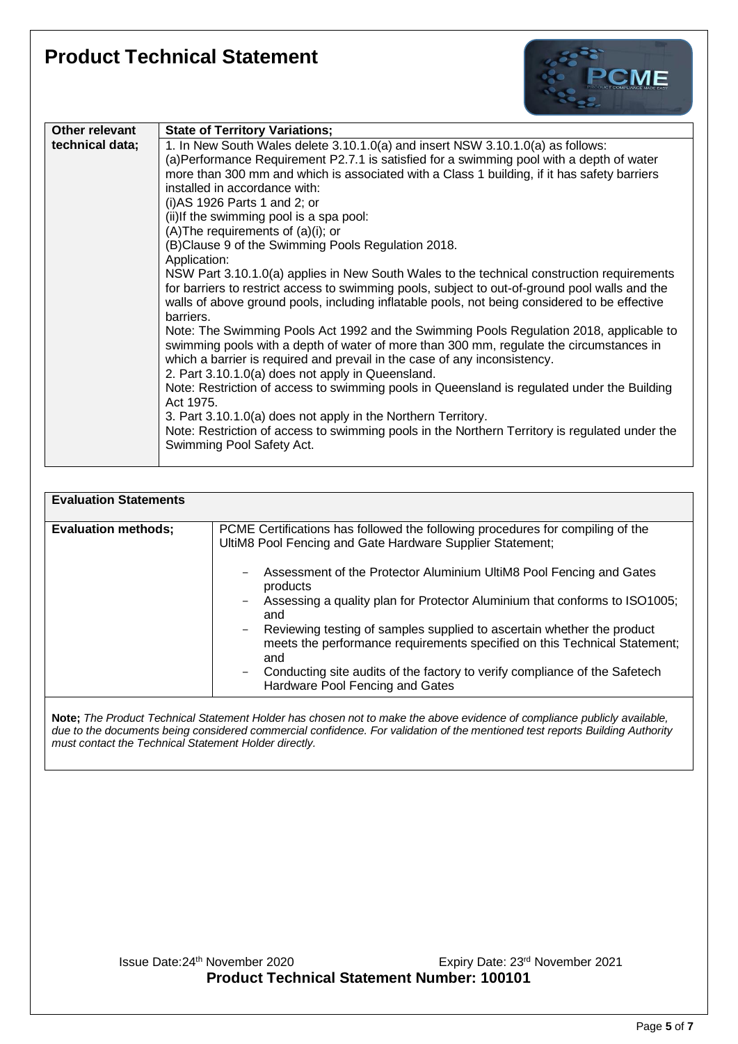

| Other relevant  | <b>State of Territory Variations;</b>                                                                                                                                                                                                                                                                                                                                                                                                                                                                                                                                                                                                                                                                                                                                                                                                                                                                                                                                                                                                                                                                                                                                                                                                                                                                                                                                                                                                                         |
|-----------------|---------------------------------------------------------------------------------------------------------------------------------------------------------------------------------------------------------------------------------------------------------------------------------------------------------------------------------------------------------------------------------------------------------------------------------------------------------------------------------------------------------------------------------------------------------------------------------------------------------------------------------------------------------------------------------------------------------------------------------------------------------------------------------------------------------------------------------------------------------------------------------------------------------------------------------------------------------------------------------------------------------------------------------------------------------------------------------------------------------------------------------------------------------------------------------------------------------------------------------------------------------------------------------------------------------------------------------------------------------------------------------------------------------------------------------------------------------------|
| technical data; | 1. In New South Wales delete 3.10.1.0(a) and insert NSW 3.10.1.0(a) as follows:<br>(a)Performance Requirement P2.7.1 is satisfied for a swimming pool with a depth of water<br>more than 300 mm and which is associated with a Class 1 building, if it has safety barriers<br>installed in accordance with:<br>$(i)$ AS 1926 Parts 1 and 2; or<br>(ii) If the swimming pool is a spa pool:<br>$(A)$ The requirements of $(a)(i)$ ; or<br>(B)Clause 9 of the Swimming Pools Regulation 2018.<br>Application:<br>NSW Part 3.10.1.0(a) applies in New South Wales to the technical construction requirements<br>for barriers to restrict access to swimming pools, subject to out-of-ground pool walls and the<br>walls of above ground pools, including inflatable pools, not being considered to be effective<br>barriers.<br>Note: The Swimming Pools Act 1992 and the Swimming Pools Regulation 2018, applicable to<br>swimming pools with a depth of water of more than 300 mm, regulate the circumstances in<br>which a barrier is required and prevail in the case of any inconsistency.<br>2. Part 3.10.1.0(a) does not apply in Queensland.<br>Note: Restriction of access to swimming pools in Queensland is regulated under the Building<br>Act 1975.<br>3. Part 3.10.1.0(a) does not apply in the Northern Territory.<br>Note: Restriction of access to swimming pools in the Northern Territory is regulated under the<br>Swimming Pool Safety Act. |
|                 |                                                                                                                                                                                                                                                                                                                                                                                                                                                                                                                                                                                                                                                                                                                                                                                                                                                                                                                                                                                                                                                                                                                                                                                                                                                                                                                                                                                                                                                               |

| <b>Evaluation Statements</b> |                                                                                                                                                                                        |
|------------------------------|----------------------------------------------------------------------------------------------------------------------------------------------------------------------------------------|
| <b>Evaluation methods;</b>   | PCME Certifications has followed the following procedures for compiling of the<br>UltiM8 Pool Fencing and Gate Hardware Supplier Statement;                                            |
|                              | Assessment of the Protector Aluminium UltiM8 Pool Fencing and Gates<br>Ξ.<br>products                                                                                                  |
|                              | Assessing a quality plan for Protector Aluminium that conforms to ISO1005;<br>and                                                                                                      |
|                              | Reviewing testing of samples supplied to ascertain whether the product<br>$\overline{\phantom{m}}$<br>meets the performance requirements specified on this Technical Statement;<br>and |
|                              | Conducting site audits of the factory to verify compliance of the Safetech<br>$\qquad \qquad -$<br>Hardware Pool Fencing and Gates                                                     |

**Note;** *The Product Technical Statement Holder has chosen not to make the above evidence of compliance publicly available, due to the documents being considered commercial confidence. For validation of the mentioned test reports Building Authority must contact the Technical Statement Holder directly.*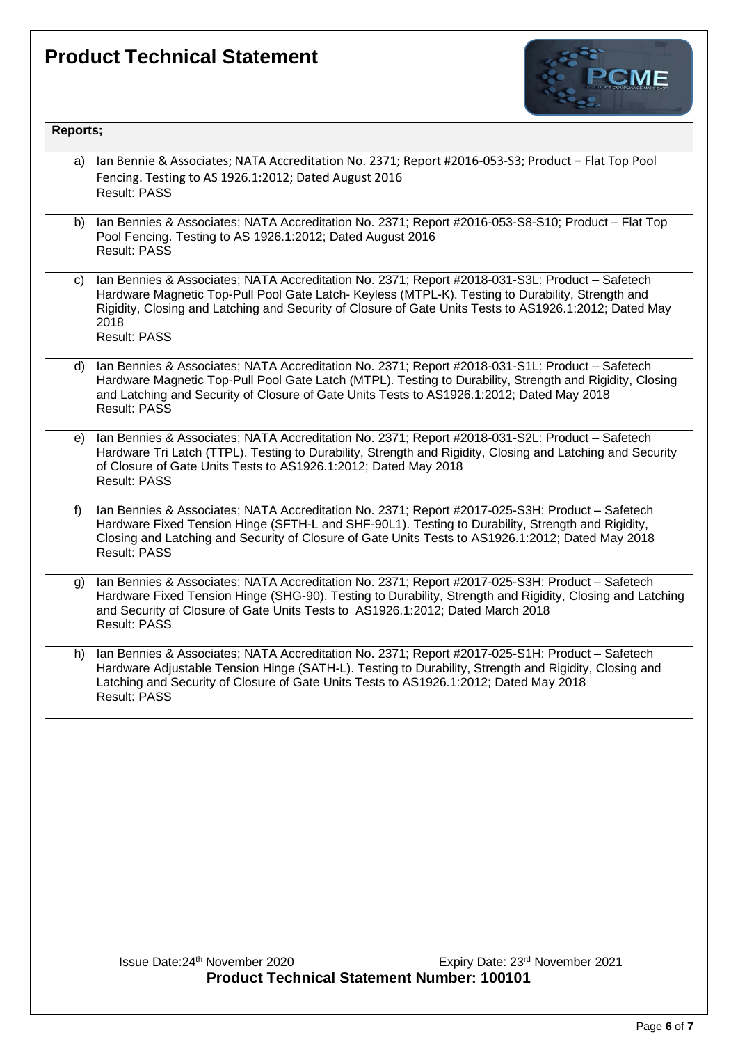

| Ian Bennie & Associates; NATA Accreditation No. 2371; Report #2016-053-S3; Product - Flat Top Pool<br>a)<br>Fencing. Testing to AS 1926.1:2012; Dated August 2016<br><b>Result: PASS</b><br>Ian Bennies & Associates; NATA Accreditation No. 2371; Report #2016-053-S8-S10; Product - Flat Top<br>b)<br>Pool Fencing. Testing to AS 1926.1:2012; Dated August 2016<br><b>Result: PASS</b><br>Ian Bennies & Associates; NATA Accreditation No. 2371; Report #2018-031-S3L: Product - Safetech<br>C)<br>Hardware Magnetic Top-Pull Pool Gate Latch- Keyless (MTPL-K). Testing to Durability, Strength and<br>Rigidity, Closing and Latching and Security of Closure of Gate Units Tests to AS1926.1:2012; Dated May<br>2018<br><b>Result: PASS</b><br>Ian Bennies & Associates; NATA Accreditation No. 2371; Report #2018-031-S1L: Product - Safetech<br>d)<br>Hardware Magnetic Top-Pull Pool Gate Latch (MTPL). Testing to Durability, Strength and Rigidity, Closing<br>and Latching and Security of Closure of Gate Units Tests to AS1926.1:2012; Dated May 2018<br><b>Result: PASS</b><br>Ian Bennies & Associates; NATA Accreditation No. 2371; Report #2018-031-S2L: Product - Safetech<br>e)<br>Hardware Tri Latch (TTPL). Testing to Durability, Strength and Rigidity, Closing and Latching and Security<br>of Closure of Gate Units Tests to AS1926.1:2012; Dated May 2018<br><b>Result: PASS</b><br>Ian Bennies & Associates; NATA Accreditation No. 2371; Report #2017-025-S3H: Product - Safetech<br>$f$ )<br>Hardware Fixed Tension Hinge (SFTH-L and SHF-90L1). Testing to Durability, Strength and Rigidity,<br>Closing and Latching and Security of Closure of Gate Units Tests to AS1926.1:2012; Dated May 2018<br><b>Result: PASS</b><br>Ian Bennies & Associates; NATA Accreditation No. 2371; Report #2017-025-S3H: Product - Safetech<br>g)<br>Hardware Fixed Tension Hinge (SHG-90). Testing to Durability, Strength and Rigidity, Closing and Latching<br>and Security of Closure of Gate Units Tests to AS1926.1:2012; Dated March 2018<br><b>Result: PASS</b><br>Ian Bennies & Associates; NATA Accreditation No. 2371; Report #2017-025-S1H: Product - Safetech<br>h)<br>Hardware Adjustable Tension Hinge (SATH-L). Testing to Durability, Strength and Rigidity, Closing and<br>Latching and Security of Closure of Gate Units Tests to AS1926.1:2012; Dated May 2018<br><b>Result: PASS</b> | Reports; |  |
|--------------------------------------------------------------------------------------------------------------------------------------------------------------------------------------------------------------------------------------------------------------------------------------------------------------------------------------------------------------------------------------------------------------------------------------------------------------------------------------------------------------------------------------------------------------------------------------------------------------------------------------------------------------------------------------------------------------------------------------------------------------------------------------------------------------------------------------------------------------------------------------------------------------------------------------------------------------------------------------------------------------------------------------------------------------------------------------------------------------------------------------------------------------------------------------------------------------------------------------------------------------------------------------------------------------------------------------------------------------------------------------------------------------------------------------------------------------------------------------------------------------------------------------------------------------------------------------------------------------------------------------------------------------------------------------------------------------------------------------------------------------------------------------------------------------------------------------------------------------------------------------------------------------------------------------------------------------------------------------------------------------------------------------------------------------------------------------------------------------------------------------------------------------------------------------------------------------------------------------------------------------------------------------------------------------------------------------------------------------------------------------------------------------------------|----------|--|
|                                                                                                                                                                                                                                                                                                                                                                                                                                                                                                                                                                                                                                                                                                                                                                                                                                                                                                                                                                                                                                                                                                                                                                                                                                                                                                                                                                                                                                                                                                                                                                                                                                                                                                                                                                                                                                                                                                                                                                                                                                                                                                                                                                                                                                                                                                                                                                                                                          |          |  |
|                                                                                                                                                                                                                                                                                                                                                                                                                                                                                                                                                                                                                                                                                                                                                                                                                                                                                                                                                                                                                                                                                                                                                                                                                                                                                                                                                                                                                                                                                                                                                                                                                                                                                                                                                                                                                                                                                                                                                                                                                                                                                                                                                                                                                                                                                                                                                                                                                          |          |  |
|                                                                                                                                                                                                                                                                                                                                                                                                                                                                                                                                                                                                                                                                                                                                                                                                                                                                                                                                                                                                                                                                                                                                                                                                                                                                                                                                                                                                                                                                                                                                                                                                                                                                                                                                                                                                                                                                                                                                                                                                                                                                                                                                                                                                                                                                                                                                                                                                                          |          |  |
|                                                                                                                                                                                                                                                                                                                                                                                                                                                                                                                                                                                                                                                                                                                                                                                                                                                                                                                                                                                                                                                                                                                                                                                                                                                                                                                                                                                                                                                                                                                                                                                                                                                                                                                                                                                                                                                                                                                                                                                                                                                                                                                                                                                                                                                                                                                                                                                                                          |          |  |
|                                                                                                                                                                                                                                                                                                                                                                                                                                                                                                                                                                                                                                                                                                                                                                                                                                                                                                                                                                                                                                                                                                                                                                                                                                                                                                                                                                                                                                                                                                                                                                                                                                                                                                                                                                                                                                                                                                                                                                                                                                                                                                                                                                                                                                                                                                                                                                                                                          |          |  |
|                                                                                                                                                                                                                                                                                                                                                                                                                                                                                                                                                                                                                                                                                                                                                                                                                                                                                                                                                                                                                                                                                                                                                                                                                                                                                                                                                                                                                                                                                                                                                                                                                                                                                                                                                                                                                                                                                                                                                                                                                                                                                                                                                                                                                                                                                                                                                                                                                          |          |  |
|                                                                                                                                                                                                                                                                                                                                                                                                                                                                                                                                                                                                                                                                                                                                                                                                                                                                                                                                                                                                                                                                                                                                                                                                                                                                                                                                                                                                                                                                                                                                                                                                                                                                                                                                                                                                                                                                                                                                                                                                                                                                                                                                                                                                                                                                                                                                                                                                                          |          |  |
|                                                                                                                                                                                                                                                                                                                                                                                                                                                                                                                                                                                                                                                                                                                                                                                                                                                                                                                                                                                                                                                                                                                                                                                                                                                                                                                                                                                                                                                                                                                                                                                                                                                                                                                                                                                                                                                                                                                                                                                                                                                                                                                                                                                                                                                                                                                                                                                                                          |          |  |